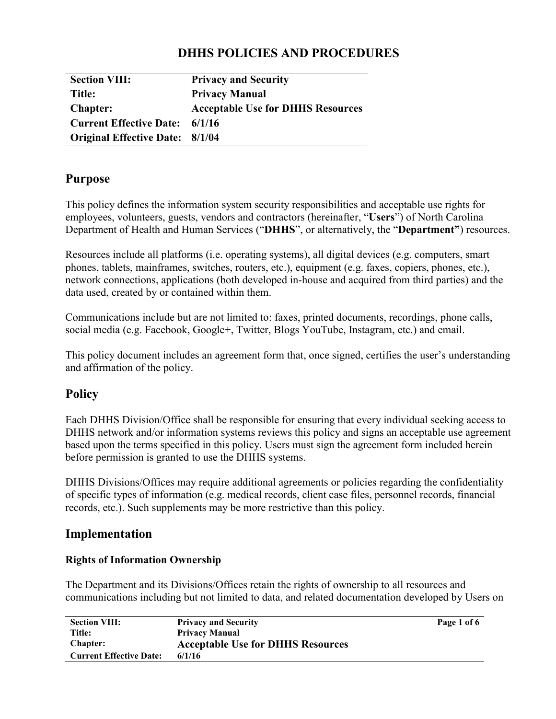# **DHHS POLICIES AND PROCEDURES**

| <b>Section VIII:</b>                   | <b>Privacy and Security</b>              |
|----------------------------------------|------------------------------------------|
| Title:                                 | <b>Privacy Manual</b>                    |
| <b>Chapter:</b>                        | <b>Acceptable Use for DHHS Resources</b> |
| <b>Current Effective Date:</b>         | 6/1/16                                   |
| <b>Original Effective Date: 8/1/04</b> |                                          |

### **Purpose**

This policy defines the information system security responsibilities and acceptable use rights for employees, volunteers, guests, vendors and contractors (hereinafter, "**Users**") of North Carolina Department of Health and Human Services ("**DHHS**", or alternatively, the "**Department"**) resources.

Resources include all platforms (i.e. operating systems), all digital devices (e.g. computers, smart phones, tablets, mainframes, switches, routers, etc.), equipment (e.g. faxes, copiers, phones, etc.), network connections, applications (both developed in-house and acquired from third parties) and the data used, created by or contained within them.

Communications include but are not limited to: faxes, printed documents, recordings, phone calls, social media (e.g. Facebook, Google+, Twitter, Blogs YouTube, Instagram, etc.) and email.

This policy document includes an agreement form that, once signed, certifies the user's understanding and affirmation of the policy.

## **Policy**

Each DHHS Division/Office shall be responsible for ensuring that every individual seeking access to DHHS network and/or information systems reviews this policy and signs an acceptable use agreement based upon the terms specified in this policy. Users must sign the agreement form included herein before permission is granted to use the DHHS systems.

DHHS Divisions/Offices may require additional agreements or policies regarding the confidentiality of specific types of information (e.g. medical records, client case files, personnel records, financial records, etc.). Such supplements may be more restrictive than this policy.

## **Implementation**

### **Rights of Information Ownership**

The Department and its Divisions/Offices retain the rights of ownership to all resources and communications including but not limited to data, and related documentation developed by Users on

| <b>Section VIII:</b>           | <b>Privacy and Security</b>              | Page 1 of 6 |
|--------------------------------|------------------------------------------|-------------|
| Title:                         | <b>Privacy Manual</b>                    |             |
| <b>Chapter:</b>                | <b>Acceptable Use for DHHS Resources</b> |             |
| <b>Current Effective Date:</b> | 6/1/16                                   |             |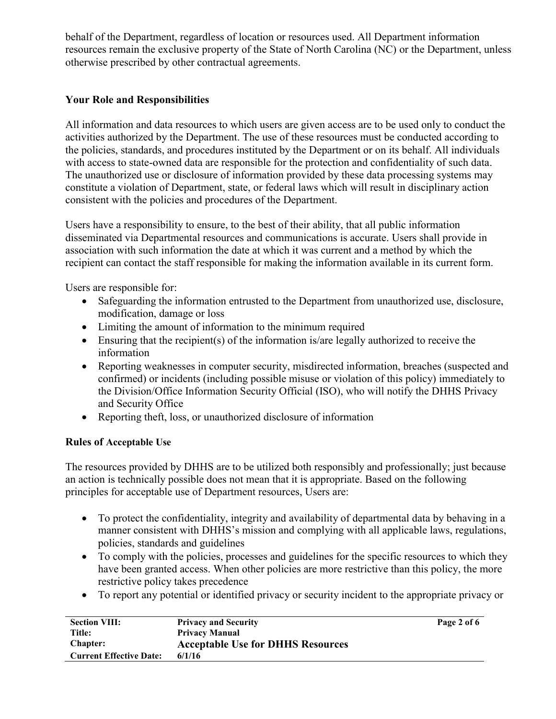behalf of the Department, regardless of location or resources used. All Department information resources remain the exclusive property of the State of North Carolina (NC) or the Department, unless otherwise prescribed by other contractual agreements.

### **Your Role and Responsibilities**

All information and data resources to which users are given access are to be used only to conduct the activities authorized by the Department. The use of these resources must be conducted according to the policies, standards, and procedures instituted by the Department or on its behalf. All individuals with access to state-owned data are responsible for the protection and confidentiality of such data. The unauthorized use or disclosure of information provided by these data processing systems may constitute a violation of Department, state, or federal laws which will result in disciplinary action consistent with the policies and procedures of the Department.

Users have a responsibility to ensure, to the best of their ability, that all public information disseminated via Departmental resources and communications is accurate. Users shall provide in association with such information the date at which it was current and a method by which the recipient can contact the staff responsible for making the information available in its current form.

Users are responsible for:

- Safeguarding the information entrusted to the Department from unauthorized use, disclosure, modification, damage or loss
- Limiting the amount of information to the minimum required
- Ensuring that the recipient(s) of the information is/are legally authorized to receive the information
- Reporting weaknesses in computer security, misdirected information, breaches (suspected and confirmed) or incidents (including possible misuse or violation of this policy) immediately to the Division/Office Information Security Official (ISO), who will notify the DHHS Privacy and Security Office
- Reporting theft, loss, or unauthorized disclosure of information

#### **Rules of Acceptable Use**

The resources provided by DHHS are to be utilized both responsibly and professionally; just because an action is technically possible does not mean that it is appropriate. Based on the following principles for acceptable use of Department resources, Users are:

- To protect the confidentiality, integrity and availability of departmental data by behaving in a manner consistent with DHHS's mission and complying with all applicable laws, regulations, policies, standards and guidelines
- $\bullet$  To comply with the policies, processes and guidelines for the specific resources to which they have been granted access. When other policies are more restrictive than this policy, the more restrictive policy takes precedence
- To report any potential or identified privacy or security incident to the appropriate privacy or

| <b>Section VIII:</b>           | <b>Privacy and Security</b>              | Page 2 of 6 |
|--------------------------------|------------------------------------------|-------------|
| Title:                         | <b>Privacy Manual</b>                    |             |
| <b>Chapter:</b>                | <b>Acceptable Use for DHHS Resources</b> |             |
| <b>Current Effective Date:</b> | 6/1/16                                   |             |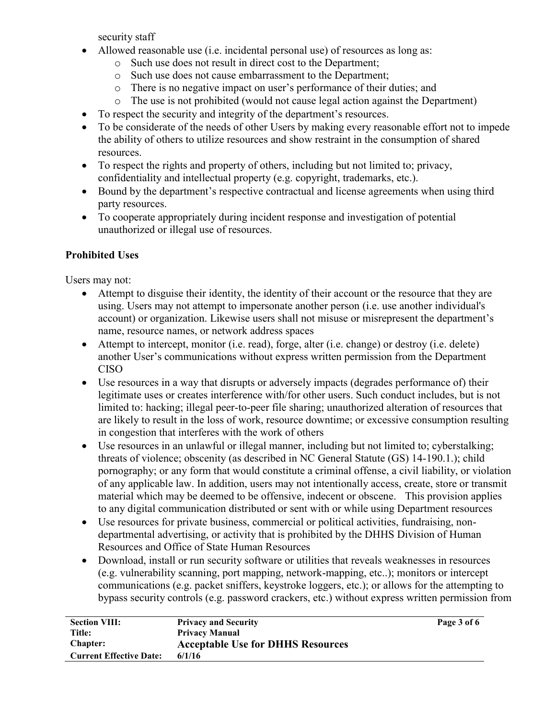security staff

- $\bullet$  Allowed reasonable use (i.e. incidental personal use) of resources as long as:
	- o Such use does not result in direct cost to the Department;
	- o Such use does not cause embarrassment to the Department;
	- o There is no negative impact on user's performance of their duties; and
	- o The use is not prohibited (would not cause legal action against the Department)
- To respect the security and integrity of the department's resources.
- To be considerate of the needs of other Users by making every reasonable effort not to impede the ability of others to utilize resources and show restraint in the consumption of shared resources.
- To respect the rights and property of others, including but not limited to; privacy, confidentiality and intellectual property (e.g. copyright, trademarks, etc.).
- Bound by the department's respective contractual and license agreements when using third party resources.
- To cooperate appropriately during incident response and investigation of potential unauthorized or illegal use of resources.

## **Prohibited Uses**

Users may not:

- Attempt to disguise their identity, the identity of their account or the resource that they are using. Users may not attempt to impersonate another person (i.e. use another individual's account) or organization. Likewise users shall not misuse or misrepresent the department's name, resource names, or network address spaces
- $\bullet$  Attempt to intercept, monitor (i.e. read), forge, alter (i.e. change) or destroy (i.e. delete) another User's communications without express written permission from the Department CISO
- Use resources in a way that disrupts or adversely impacts (degrades performance of) their legitimate uses or creates interference with/for other users. Such conduct includes, but is not limited to: hacking; illegal peer-to-peer file sharing; unauthorized alteration of resources that are likely to result in the loss of work, resource downtime; or excessive consumption resulting in congestion that interferes with the work of others
- Use resources in an unlawful or illegal manner, including but not limited to: cyberstalking; threats of violence; obscenity (as described in NC General Statute (GS) 14-190.1.); child pornography; or any form that would constitute a criminal offense, a civil liability, or violation of any applicable law. In addition, users may not intentionally access, create, store or transmit material which may be deemed to be offensive, indecent or obscene. This provision applies to any digital communication distributed or sent with or while using Department resources
- Use resources for private business, commercial or political activities, fundraising, nondepartmental advertising, or activity that is prohibited by the DHHS Division of Human Resources and Office of State Human Resources
- Download, install or run security software or utilities that reveals weaknesses in resources (e.g. vulnerability scanning, port mapping, network-mapping, etc..); monitors or intercept communications (e.g. packet sniffers, keystroke loggers, etc.); or allows for the attempting to bypass security controls (e.g. password crackers, etc.) without express written permission from

| <b>Section VIII:</b>           | <b>Privacy and Security</b>              | Page 3 of 6 |
|--------------------------------|------------------------------------------|-------------|
| Title:                         | <b>Privacy Manual</b>                    |             |
| <b>Chapter:</b>                | <b>Acceptable Use for DHHS Resources</b> |             |
| <b>Current Effective Date:</b> | 6/1/16                                   |             |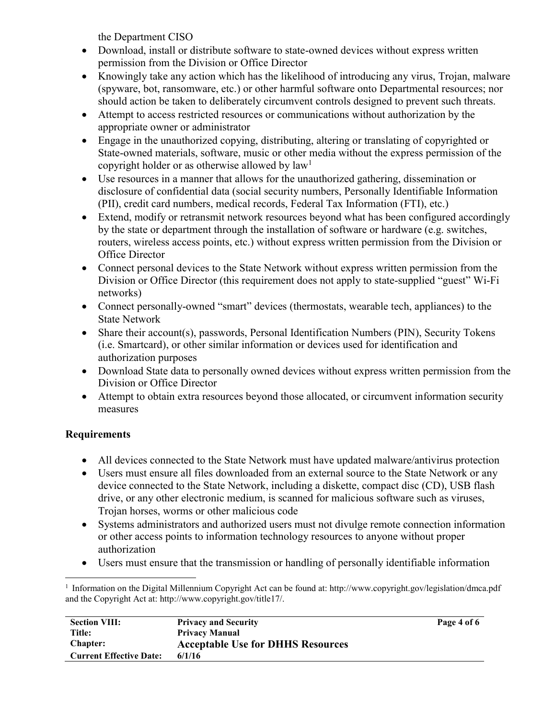the Department CISO

- Download, install or distribute software to state-owned devices without express written permission from the Division or Office Director
- Knowingly take any action which has the likelihood of introducing any virus, Trojan, malware (spyware, bot, ransomware, etc.) or other harmful software onto Departmental resources; nor should action be taken to deliberately circumvent controls designed to prevent such threats.
- Attempt to access restricted resources or communications without authorization by the appropriate owner or administrator
- Engage in the unauthorized copying, distributing, altering or translating of copyrighted or State-owned materials, software, music or other media without the express permission of the copyright holder or as otherwise allowed by  $law<sup>1</sup>$
- Use resources in a manner that allows for the unauthorized gathering, dissemination or disclosure of confidential data (social security numbers, Personally Identifiable Information (PII), credit card numbers, medical records, Federal Tax Information (FTI), etc.)
- Extend, modify or retransmit network resources beyond what has been configured accordingly by the state or department through the installation of software or hardware (e.g. switches, routers, wireless access points, etc.) without express written permission from the Division or Office Director
- Connect personal devices to the State Network without express written permission from the Division or Office Director (this requirement does not apply to state-supplied "guest" Wi-Fi networks)
- Connect personally-owned "smart" devices (thermostats, wearable tech, appliances) to the State Network
- Share their account(s), passwords, Personal Identification Numbers (PIN), Security Tokens (i.e. Smartcard), or other similar information or devices used for identification and authorization purposes
- Download State data to personally owned devices without express written permission from the Division or Office Director
- Attempt to obtain extra resources beyond those allocated, or circumvent information security measures

## **Requirements**

 $\overline{a}$ 

- All devices connected to the State Network must have updated malware/antivirus protection
- Users must ensure all files downloaded from an external source to the State Network or any device connected to the State Network, including a diskette, compact disc (CD), USB flash drive, or any other electronic medium, is scanned for malicious software such as viruses, Trojan horses, worms or other malicious code
- Systems administrators and authorized users must not divulge remote connection information or other access points to information technology resources to anyone without proper authorization
- Users must ensure that the transmission or handling of personally identifiable information

<sup>1</sup> Information on the Digital Millennium Copyright Act can be found at: http://www.copyright.gov/legislation/dmca.pdf and the Copyright Act at: http://www.copyright.gov/title17/.

| <b>Section VIII:</b>           | <b>Privacy and Security</b>              | Page 4 of 6 |
|--------------------------------|------------------------------------------|-------------|
| Title:                         | <b>Privacy Manual</b>                    |             |
| <b>Chapter:</b>                | <b>Acceptable Use for DHHS Resources</b> |             |
| <b>Current Effective Date:</b> | 6/1/16                                   |             |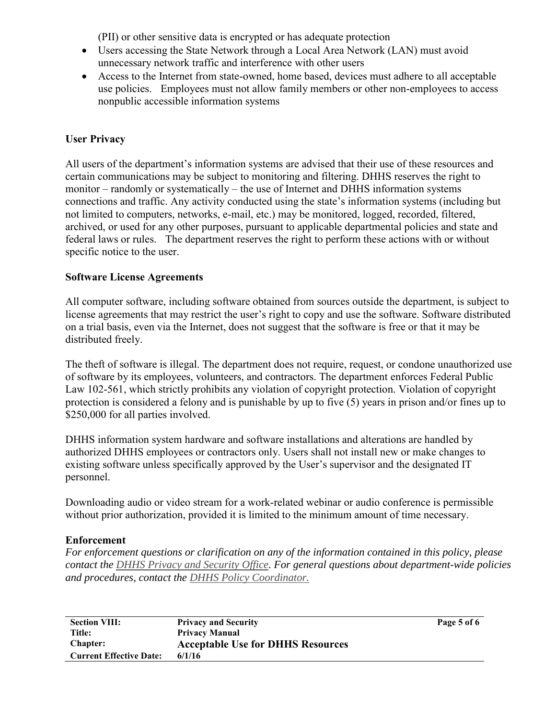(PII) or other sensitive data is encrypted or has adequate protection

- Users accessing the State Network through a Local Area Network (LAN) must avoid unnecessary network traffic and interference with other users
- Access to the Internet from state-owned, home based, devices must adhere to all acceptable use policies. Employees must not allow family members or other non-employees to access nonpublic accessible information systems

### **User Privacy**

All users of the department's information systems are advised that their use of these resources and certain communications may be subject to monitoring and filtering. DHHS reserves the right to monitor – randomly or systematically – the use of Internet and DHHS information systems connections and traffic. Any activity conducted using the state's information systems (including but not limited to computers, networks, e-mail, etc.) may be monitored, logged, recorded, filtered, archived, or used for any other purposes, pursuant to applicable departmental policies and state and federal laws or rules. The department reserves the right to perform these actions with or without specific notice to the user.

### **Software License Agreements**

All computer software, including software obtained from sources outside the department, is subject to license agreements that may restrict the user's right to copy and use the software. Software distributed on a trial basis, even via the Internet, does not suggest that the software is free or that it may be distributed freely.

The theft of software is illegal. The department does not require, request, or condone unauthorized use of software by its employees, volunteers, and contractors. The department enforces Federal Public Law 102-561, which strictly prohibits any violation of copyright protection. Violation of copyright protection is considered a felony and is punishable by up to five (5) years in prison and/or fines up to \$250,000 for all parties involved.

DHHS information system hardware and software installations and alterations are handled by authorized DHHS employees or contractors only. Users shall not install new or make changes to existing software unless specifically approved by the User's supervisor and the designated IT personnel.

Downloading audio or video stream for a work-related webinar or audio conference is permissible without prior authorization, provided it is limited to the minimum amount of time necessary.

### **Enforcement**

*For enforcement questions or clarification on any of the information contained in this policy, please contact the DHHS Privacy and Security Office. For general questions about department-wide policies and procedures, contact the DHHS Policy Coordinator.*

| <b>Section VIII:</b>           | <b>Privacy and Security</b>              | Page 5 of 6 |
|--------------------------------|------------------------------------------|-------------|
| <b>Title:</b>                  | <b>Privacy Manual</b>                    |             |
| <b>Chapter:</b>                | <b>Acceptable Use for DHHS Resources</b> |             |
| <b>Current Effective Date:</b> | 6/1/16                                   |             |